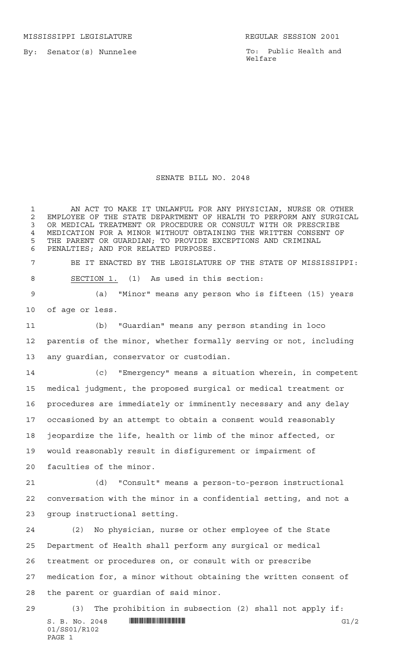MISSISSIPPI LEGISLATURE **REGULAR SESSION 2001** 

By: Senator(s) Nunnelee

PAGE 1

To: Public Health and Welfare

## SENATE BILL NO. 2048

 $S. B. No. 2048$  **INNIFICANTICALLY INSERIAL CONSUMING**  $GL/2$ 01/SS01/R102 AN ACT TO MAKE IT UNLAWFUL FOR ANY PHYSICIAN, NURSE OR OTHER 2 EMPLOYEE OF THE STATE DEPARTMENT OF HEALTH TO PERFORM ANY SURGICAL<br>3 OR MEDICAL TREATMENT OR PROCEDURE OR CONSULT WITH OR PRESCRIBE OR MEDICAL TREATMENT OR PROCEDURE OR CONSULT WITH OR PRESCRIBE MEDICATION FOR A MINOR WITHOUT OBTAINING THE WRITTEN CONSENT OF THE PARENT OR GUARDIAN; TO PROVIDE EXCEPTIONS AND CRIMINAL PENALTIES; AND FOR RELATED PURPOSES. BE IT ENACTED BY THE LEGISLATURE OF THE STATE OF MISSISSIPPI: SECTION 1. (1) As used in this section: (a) "Minor" means any person who is fifteen (15) years of age or less. (b) "Guardian" means any person standing in loco parentis of the minor, whether formally serving or not, including any guardian, conservator or custodian. (c) "Emergency" means a situation wherein, in competent medical judgment, the proposed surgical or medical treatment or procedures are immediately or imminently necessary and any delay occasioned by an attempt to obtain a consent would reasonably jeopardize the life, health or limb of the minor affected, or would reasonably result in disfigurement or impairment of faculties of the minor. (d) "Consult" means a person-to-person instructional conversation with the minor in a confidential setting, and not a group instructional setting. (2) No physician, nurse or other employee of the State Department of Health shall perform any surgical or medical treatment or procedures on, or consult with or prescribe medication for, a minor without obtaining the written consent of the parent or guardian of said minor. (3) The prohibition in subsection (2) shall not apply if: